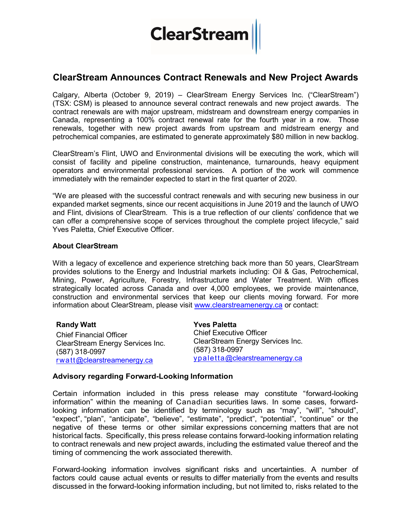## **ClearStream**

## ClearStream Announces Contract Renewals and New Project Awards

Calgary, Alberta (October 9, 2019) – ClearStream Energy Services Inc. ("ClearStream") (TSX: CSM) is pleased to announce several contract renewals and new project awards. The contract renewals are with major upstream, midstream and downstream energy companies in Canada, representing a 100% contract renewal rate for the fourth year in a row. Those renewals, together with new project awards from upstream and midstream energy and petrochemical companies, are estimated to generate approximately \$80 million in new backlog.

ClearStream's Flint, UWO and Environmental divisions will be executing the work, which will consist of facility and pipeline construction, maintenance, turnarounds, heavy equipment operators and environmental professional services. A portion of the work will commence immediately with the remainder expected to start in the first quarter of 2020.

"We are pleased with the successful contract renewals and with securing new business in our expanded market segments, since our recent acquisitions in June 2019 and the launch of UWO and Flint, divisions of ClearStream. This is a true reflection of our clients' confidence that we can offer a comprehensive scope of services throughout the complete project lifecycle," said Yves Paletta, Chief Executive Officer.

## About ClearStream

With a legacy of excellence and experience stretching back more than 50 years, ClearStream provides solutions to the Energy and Industrial markets including: Oil & Gas, Petrochemical, Mining, Power, Agriculture, Forestry, Infrastructure and Water Treatment. With offices strategically located across Canada and over 4,000 employees, we provide maintenance, construction and environmental services that keep our clients moving forward. For more information about ClearStream, please visit www.clearstreamenergy.ca or contact:

Randy Watt Chief Financial Officer ClearStream Energy Services Inc. (587) 318-0997 rwatt@clearstreamenergy.ca Yves Paletta (587) 318-0997

Chief Executive Officer ClearStream Energy Services Inc. ypaletta@clearstreamenergy.ca

## Advisory regarding Forward-Looking Information

Certain information included in this press release may constitute "forward-looking information" within the meaning of Canadian securities laws. In some cases, forwardlooking information can be identified by terminology such as "may", "will", "should", "expect", "plan", "anticipate", "believe", "estimate", "predict", "potential", "continue" or the negative of these terms or other similar expressions concerning matters that are not historical facts. Specifically, this press release contains forward-looking information relating to contract renewals and new project awards, including the estimated value thereof and the timing of commencing the work associated therewith.

Forward-looking information involves significant risks and uncertainties. A number of factors could cause actual events or results to differ materially from the events and results discussed in the forward-looking information including, but not limited to, risks related to the